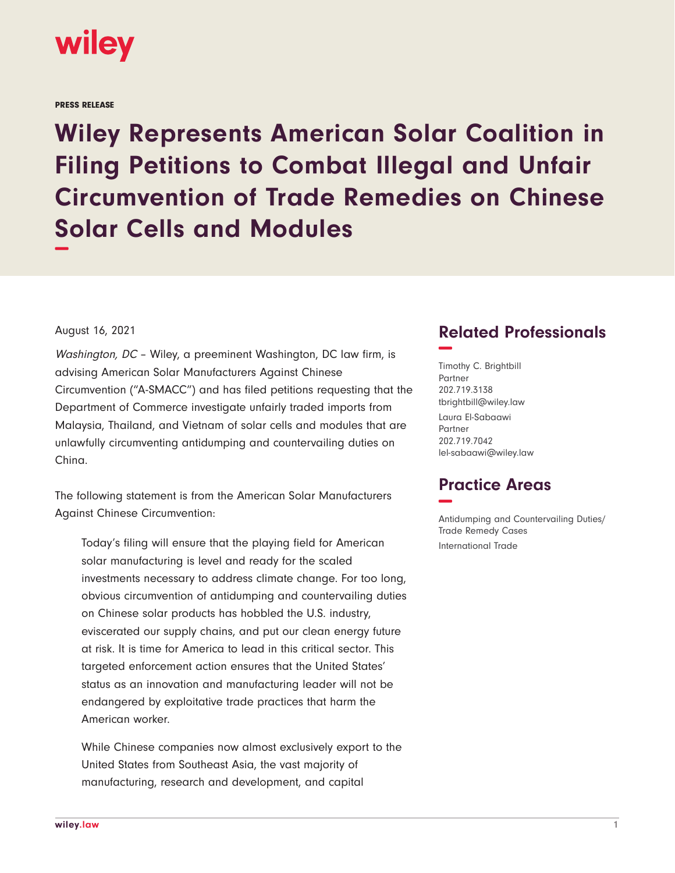

PRESS RELEASE

**Wiley Represents American Solar Coalition in Filing Petitions to Combat Illegal and Unfair Circumvention of Trade Remedies on Chinese Solar Cells and Modules −**

August 16, 2021

Washington, DC – Wiley, a preeminent Washington, DC law firm, is advising American Solar Manufacturers Against Chinese Circumvention ("A-SMACC") and has filed petitions requesting that the Department of Commerce investigate unfairly traded imports from Malaysia, Thailand, and Vietnam of solar cells and modules that are unlawfully circumventing antidumping and countervailing duties on China.

The following statement is from the American Solar Manufacturers Against Chinese Circumvention:

Today's filing will ensure that the playing field for American solar manufacturing is level and ready for the scaled investments necessary to address climate change. For too long, obvious circumvention of antidumping and countervailing duties on Chinese solar products has hobbled the U.S. industry, eviscerated our supply chains, and put our clean energy future at risk. It is time for America to lead in this critical sector. This targeted enforcement action ensures that the United States' status as an innovation and manufacturing leader will not be endangered by exploitative trade practices that harm the American worker.

While Chinese companies now almost exclusively export to the United States from Southeast Asia, the vast majority of manufacturing, research and development, and capital

## **Related Professionals −**

Timothy C. Brightbill Partner 202.719.3138 tbrightbill@wiley.law Laura El-Sabaawi Partner 202.719.7042 lel-sabaawi@wiley.law

## **Practice Areas −**

Antidumping and Countervailing Duties/ Trade Remedy Cases International Trade